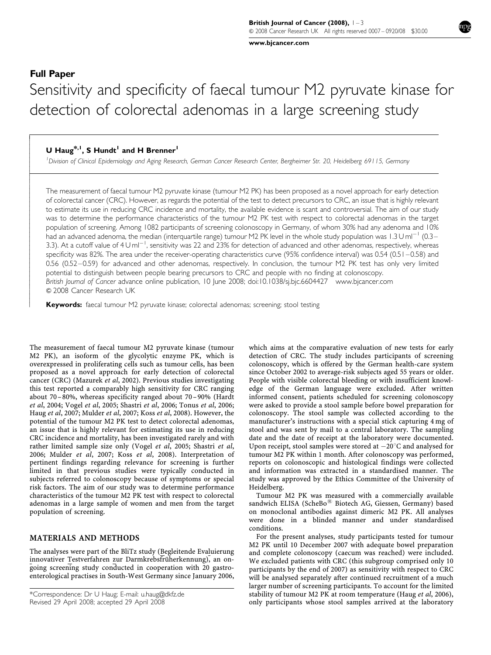[www.bjcancer.com](http://www.bjcancer.com)

# Full Paper

 $\overline{1}$  $\overline{\phantom{a}}$  $\overline{\phantom{a}}$  $\overline{\phantom{a}}$  $\overline{\phantom{a}}$  $\overline{\phantom{a}}$  $\bigg\}$  $\bigg\}$ l ľ  $\overline{\phantom{a}}$  $\overline{\phantom{a}}$  $\bigg\}$  $\bigg\}$  $\overline{\phantom{a}}$  $\overline{\phantom{a}}$  $\overline{\phantom{a}}$  $\bigg\}$  $\bigg\}$  $\overline{\phantom{a}}$  $\overline{\phantom{a}}$  $\overline{\phantom{a}}$  $\bigg\}$  $\bigg\}$  $\overline{\phantom{a}}$  $\overline{\phantom{a}}$  $\overline{\phantom{a}}$  $\overline{\phantom{a}}$  $\bigg\}$  $\overline{\phantom{a}}$  $\overline{\phantom{a}}$  $\overline{\phantom{a}}$  $\overline{\phantom{a}}$  $\overline{\phantom{a}}$  $\overline{\phantom{a}}$  $\overline{\phantom{a}}$  $\overline{\phantom{a}}$  $\overline{\phantom{a}}$  $\overline{\phantom{a}}$ 

# Sensitivity and specificity of faecal tumour M2 pyruvate kinase for detection of colorectal adenomas in a large screening study

# U Haug<sup>\*,1</sup>, S Hundt<sup>1</sup> and H Brenner<sup>1</sup>

1 Division of Clinical Epidemiology and Aging Research, German Cancer Research Center, Bergheimer Str. 20, Heidelberg 69115, Germany

The measurement of faecal tumour M2 pyruvate kinase (tumour M2 PK) has been proposed as a novel approach for early detection of colorectal cancer (CRC). However, as regards the potential of the test to detect precursors to CRC, an issue that is highly relevant to estimate its use in reducing CRC incidence and mortality, the available evidence is scant and controversial. The aim of our study was to determine the performance characteristics of the tumour M2 PK test with respect to colorectal adenomas in the target population of screening. Among 1082 participants of screening colonoscopy in Germany, of whom 30% had any adenoma and 10% had an advanced adenoma, the median (interquartile range) tumour M2 PK level in the whole study population was  $1.3$  U ml<sup>-1</sup> (0.3– 3.3). At a cutoff value of 4 Uml<sup>-1</sup>, sensitivity was 22 and 23% for detection of advanced and other adenomas, respectively, whereas specificity was 82%. The area under the receiver-operating characteristics curve (95% confidence interval) was 0.54 (0.51–0.58) and 0.56 (0.52–0.59) for advanced and other adenomas, respectively. In conclusion, the tumour M2 PK test has only very limited potential to distinguish between people bearing precursors to CRC and people with no finding at colonoscopy. British Journal of Cancer advance online publication, 10 June 2008; doi:[10.1038/sj.bjc.6604427](http://dx.doi.org/10.1038/sj.bjc.6604427) [www.bjcancer.com](http://www.bjcancer.com) & 2008 Cancer Research UK

Keywords: faecal tumour M2 pyruvate kinase; colorectal adenomas; screening; stool testing

The measurement of faecal tumour M2 pyruvate kinase (tumour M2 PK), an isoform of the glycolytic enzyme PK, which is overexpressed in proliferating cells such as tumour cells, has been proposed as a novel approach for early detection of colorectal cancer (CRC) ([Mazurek](#page-2-0) et al, 2002). Previous studies investigating this test reported a comparably high sensitivity for CRC ranging about 70–80%, whereas specificity ranged about 70–90% [\(Hardt](#page-2-0) et al[, 2004](#page-2-0); Vogel et al[, 2005](#page-2-0); [Shastri](#page-2-0) et al, 2006; [Tonus](#page-2-0) et al, 2006; Haug et al[, 2007](#page-2-0); [Mulder](#page-2-0) et al, 2007; Koss et al[, 2008\)](#page-2-0). However, the potential of the tumour M2 PK test to detect colorectal adenomas, an issue that is highly relevant for estimating its use in reducing CRC incidence and mortality, has been investigated rarely and with rather limited sample size only (Vogel et al[, 2005; Shastri](#page-2-0) et al, [2006](#page-2-0); [Mulder](#page-2-0) et al, 2007; Koss et al[, 2008\)](#page-2-0). Interpretation of pertinent findings regarding relevance for screening is further limited in that previous studies were typically conducted in subjects referred to colonoscopy because of symptoms or special risk factors. The aim of our study was to determine performance characteristics of the tumour M2 PK test with respect to colorectal adenomas in a large sample of women and men from the target population of screening.

## MATERIALS AND METHODS

The analyses were part of the BliTz study (Begleitende Evaluierung innovativer Testverfahren zur Darmkrebsfrüherkennung), an ongoing screening study conducted in cooperation with 20 gastroenterological practises in South-West Germany since January 2006, which aims at the comparative evaluation of new tests for early detection of CRC. The study includes participants of screening colonoscopy, which is offered by the German health-care system since October 2002 to average-risk subjects aged 55 years or older. People with visible colorectal bleeding or with insufficient knowledge of the German language were excluded. After written informed consent, patients scheduled for screening colonoscopy were asked to provide a stool sample before bowel preparation for colonoscopy. The stool sample was collected according to the manufacturer's instructions with a special stick capturing 4 mg of stool and was sent by mail to a central laboratory. The sampling date and the date of receipt at the laboratory were documented. Upon receipt, stool samples were stored at  $-20^{\circ}$ C and analysed for tumour M2 PK within 1 month. After colonoscopy was performed, reports on colonoscopic and histological findings were collected and information was extracted in a standardised manner. The study was approved by the Ethics Committee of the University of Heidelberg.

Tumour M2 PK was measured with a commercially available sandwich ELISA (ScheBo<sup>®</sup> Biotech AG, Giessen, Germany) based on monoclonal antibodies against dimeric M2 PK. All analyses were done in a blinded manner and under standardised conditions.

For the present analyses, study participants tested for tumour M2 PK until 10 December 2007 with adequate bowel preparation and complete colonoscopy (caecum was reached) were included. We excluded patients with CRC (this subgroup comprised only 10 participants by the end of 2007) as sensitivity with respect to CRC will be analysed separately after continued recruitment of a much larger number of screening participants. To account for the limited stability of tumour M2 PK at room temperature (Haug et al[, 2006\)](#page-2-0), Revised 29 April 2008; accepted 29 April 2008 **only participants whose stool samples arrived at the laboratory** 

<sup>\*</sup>Correspondence: Dr U Haug; E-mail: [u.haug@dkfz.de](mailto:u.haug@dkfz.de)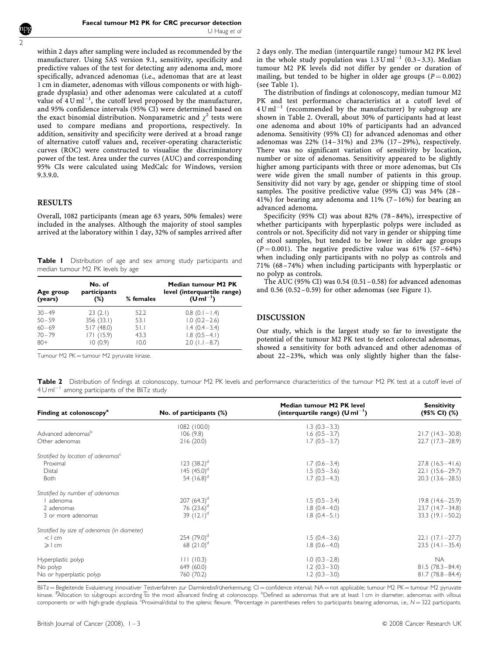within 2 days after sampling were included as recommended by the manufacturer. Using SAS version 9.1, sensitivity, specificity and predictive values of the test for detecting any adenoma and, more specifically, advanced adenomas (i.e., adenomas that are at least 1 cm in diameter, adenomas with villous components or with highgrade dysplasia) and other adenomas were calculated at a cutoff value of  $4\text{ U ml}^{-1}$ , the cutoff level proposed by the manufacturer, and 95% confidence intervals (95% CI) were determined based on the exact binomial distribution. Nonparametric and  $\chi^2$  tests were used to compare medians and proportions, respectively. In addition, sensitivity and specificity were derived at a broad range of alternative cutoff values and, receiver-operating characteristic curves (ROC) were constructed to visualise the discriminatory power of the test. Area under the curves (AUC) and corresponding 95% CIs were calculated using MedCalc for Windows, version 9.3.9.0.

#### RESULTS

Overall, 1082 participants (mean age 63 years, 50% females) were included in the analyses. Although the majority of stool samples arrived at the laboratory within 1 day, 32% of samples arrived after

Table I Distribution of age and sex among study participants and median tumour M2 PK levels by age

| Age group<br>(years) | No. of<br>participants<br>(%) | % females | Median tumour M2 PK<br>level (interquartile range)<br>$(U ml^{-1})$ |
|----------------------|-------------------------------|-----------|---------------------------------------------------------------------|
| $30 - 49$            | 23(2.1)                       | 52.2      | $0.8$ (0.1 - 1.4)                                                   |
| $50 - 59$            | 356(33.1)                     | 53.1      | $1.0(0.2 - 2.6)$                                                    |
| $60 - 69$            | 517(48.0)                     | 51.I      | $1.4(0.4-3.4)$                                                      |
| $70 - 79$            | 171(15.9)                     | 43.3      | $1.8(0.5-4.1)$                                                      |
| $80+$                | 10(0.9)                       | 10.0      | $2.0$ (1.1 - 8.7)                                                   |

2 days only. The median (interquartile range) tumour M2 PK level in the whole study population was  $1.3 \text{ U m}$ <sup>1-1</sup> (0.3-3.3). Median tumour M2 PK levels did not differ by gender or duration of mailing, but tended to be higher in older age groups ( $P = 0.002$ ) (see Table 1).

The distribution of findings at colonoscopy, median tumour M2 PK and test performance characteristics at a cutoff level of  $4$  U ml<sup>-1</sup> (recommended by the manufacturer) by subgroup are shown in Table 2. Overall, about 30% of participants had at least one adenoma and about 10% of participants had an advanced adenoma. Sensitivity (95% CI) for advanced adenomas and other adenomas was 22% (14– 31%) and 23% (17–29%), respectively. There was no significant variation of sensitivity by location, number or size of adenomas. Sensitivity appeared to be slightly higher among participants with three or more adenomas, but CIs were wide given the small number of patients in this group. Sensitivity did not vary by age, gender or shipping time of stool samples. The positive predictive value (95% CI) was 34% (28– 41%) for bearing any adenoma and 11% (7–16%) for bearing an advanced adenoma.

Specificity (95% CI) was about 82% (78–84%), irrespective of whether participants with hyperplastic polyps were included as controls or not. Specificity did not vary in gender or shipping time of stool samples, but tended to be lower in older age groups  $(P = 0.001)$ . The negative predictive value was 61% (57–64%) when including only participants with no polyp as controls and 71% (68– 74%) when including participants with hyperplastic or no polyp as controls.

The AUC (95% CI) was  $0.54$  (0.51 – 0.58) for advanced adenomas and  $0.56$   $(0.52 - 0.59)$  for other adenomas (see [Figure 1](#page-2-0)).

#### DISCUSSION

Our study, which is the largest study so far to investigate the potential of the tumour M2 PK test to detect colorectal adenomas, showed a sensitivity for both advanced and other adenomas of about 22–23%, which was only slightly higher than the false-

Tumour M2 PK = tumour M2 pyruvate kinase.

Table 2 Distribution of findings at colonoscopy, tumour M2 PK levels and performance characteristics of the tumour M2 PK test at a cutoff level of  $4$  U m $^{-1}$  among participants of the BliTz study

| Finding at colonoscopy <sup>a</sup>             | No. of participants (%) | Median tumour M2 PK level<br>(interquartile range) $(U \, \text{ml}^{-1})$ | <b>Sensitivity</b><br>(95% CI) (%) |
|-------------------------------------------------|-------------------------|----------------------------------------------------------------------------|------------------------------------|
|                                                 | 1082 (100.0)            | $1.3(0.3-3.3)$                                                             |                                    |
| Advanced adenomas <sup>b</sup>                  | 106(9.8)                | $1.6(0.5-3.7)$                                                             | $21.7(14.3-30.8)$                  |
| Other adenomas                                  | 216(20.0)               | $1.7(0.5-3.7)$                                                             | $22.7(17.3-28.9)$                  |
| Stratified by location of adenomas <sup>c</sup> |                         |                                                                            |                                    |
| Proximal                                        | $123 (38.2)^d$          | $1.7(0.6 - 3.4)$                                                           | $27.8$ (16.5 - 41.6)               |
| Distal                                          | $145 (45.0)^d$          | $1.5(0.5-3.6)$                                                             | $22.1(15.6-29.7)$                  |
| Both                                            | 54 $(16.8)^d$           | $1.7(0.3-4.3)$                                                             | $20.3$ (13.6 - 28.5)               |
| Stratified by number of adenomas                |                         |                                                                            |                                    |
| adenoma                                         | 207 $(64.3)^d$          | $1.5(0.5-3.4)$                                                             | $19.8(14.6 - 25.9)$                |
| 2 adenomas                                      | 76 $(23.6)^d$           | $1.8(0.4-4.0)$                                                             | $23.7$ (14.7 - 34.8)               |
| 3 or more adenomas                              | 39 $(12.1)^d$           | $1.8(0.4-5.1)$                                                             | $33.3$ (19.1 - 50.2)               |
| Stratified by size of adenomas (in diameter)    |                         |                                                                            |                                    |
| $<$ 1 cm                                        | 254 $(79.0)^d$          | $1.5(0.4-3.6)$                                                             | $22.1$ (17.1 - 27.7)               |
| $\geqslant$ 1 cm                                | 68 $(21.0)^d$           | $1.8(0.6 - 4.0)$                                                           | $23.5$ (14.1 - 35.4)               |
| Hyperplastic polyp                              | 111(10.3)               | $1.0(0.3-2.8)$                                                             | <b>NA</b>                          |
| No polyp                                        | 649 (60.0)              | $1.2(0.3-3.0)$                                                             | $81.5(78.3 - 84.4)$                |
| No or hyperplastic polyp                        | 760 (70.2)              | $1.2(0.3-3.0)$                                                             | $81.7(78.8 - 84.4)$                |

BliTz = Begleitende Evaluierung innovativer Testverfahren zur Darmkrebsfrüherkennung; CI = confidence interval; NA = not applicable; tumour M2 PK = tumour M2 pyruvate kinase. <sup>a</sup>Allocation to subgroups according to the most advanced finding at colonoscopy. <sup>b</sup>Defined as adenomas that are at least I cm in diameter, adenomas with villous components or with high-grade dysplasia. <sup>E</sup>Proximal/distal to the splenic flexure. <sup>d</sup>Percentage in parentheses refers to participants bearing adenomas, i.e., N = 322 participants.